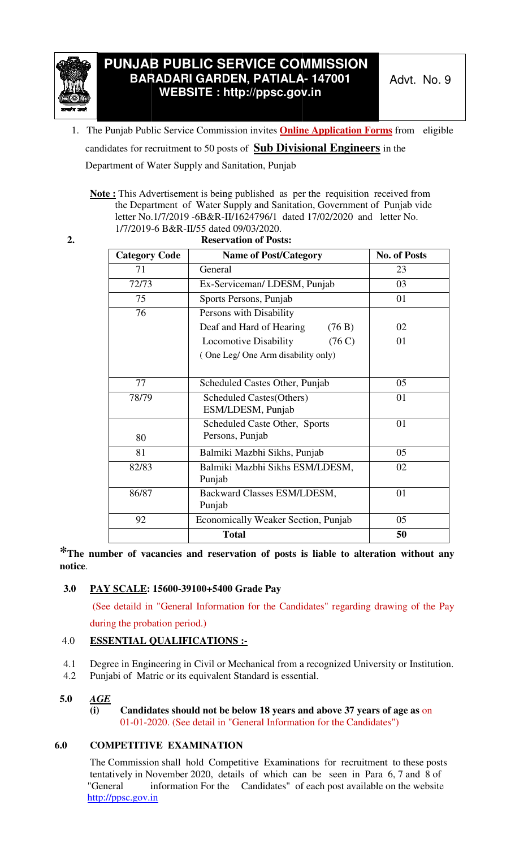

1. The Punjab Public Service Commission invites **Online Application Forms** from eligible candidates for recruitment to 50 posts of **Sub Divisional Engineers** in the Department of Water Water Supply and Sanitation, Punjab

**Note:** This Advertisement is being published as per the requisition received from the Department of Water Supply and Sanitation, Government of Punjab vide letter No.1/7/2019 -6B&R-II/1624796/1 dated 17/02/2020 and letter No. 1/7/2019 -6 B&R-II/55 dated 09/03/2020.

 **2.** 

| <b>Reservation of Posts:</b> |
|------------------------------|
|                              |

| <b>Category Code</b> | <b>Name of Post/Category</b>          | <b>No. of Posts</b> |
|----------------------|---------------------------------------|---------------------|
| 71                   | General                               | 23                  |
| 72/73                | Ex-Serviceman/LDESM, Punjab           | 03                  |
| 75                   | Sports Persons, Punjab                | 01                  |
| 76                   | Persons with Disability               |                     |
|                      | Deaf and Hard of Hearing<br>(76 B)    | 02                  |
|                      | <b>Locomotive Disability</b><br>(76C) | 01                  |
|                      | (One Leg/ One Arm disability only)    |                     |
|                      |                                       |                     |
| 77                   | Scheduled Castes Other, Punjab        | 05                  |
| 78/79                | Scheduled Castes(Others)              | 01                  |
|                      | ESM/LDESM, Punjab                     |                     |
|                      | Scheduled Caste Other, Sports         | 01                  |
| 80                   | Persons, Punjab                       |                     |
| 81                   | Balmiki Mazbhi Sikhs, Punjab          | 05                  |
| 82/83                | Balmiki Mazbhi Sikhs ESM/LDESM,       | 02                  |
|                      | Punjab                                |                     |
| 86/87                | Backward Classes ESM/LDESM,           | 01                  |
|                      | Punjab                                |                     |
| 92                   | Economically Weaker Section, Punjab   | 05                  |
|                      | <b>Total</b>                          | 50                  |

**\*The number of vacancies and reservation of posts is liable to alteration without any without notice**.

## **3.0 PAY SCALE: 15600 : 15600-39100+5400 Grade Pay**

(See detaild in "General Information for the Candidates" regarding drawing of the Pay during the probation period.)

## 4.0 **ESSENTIAL QUALIFICATIONS : :-**

- 4.1 Degree in Engineering in Civil or Mechanical from a recognized University or Institution.
- 4.2 Punjabi of Matric or its equivalent Standard is essential.

## **5.0** *AGE*

**(i)** Candidates should not be below 18 years and above 37 years of age as on 01-01-2020 2020. (See detail in "General Information for the Candidates")

## **6.0 COMPETITIVE EXAMINATION**

 The Commission shall hold Competitive Examinations Examinations for recruitment to these posts tentatively in November 2020, details of which can be seen in Para 6, 7 and 8 of "General information For the Candidates" of each post available on the website http://ppsc.gov.in http://ppsc.gov.in